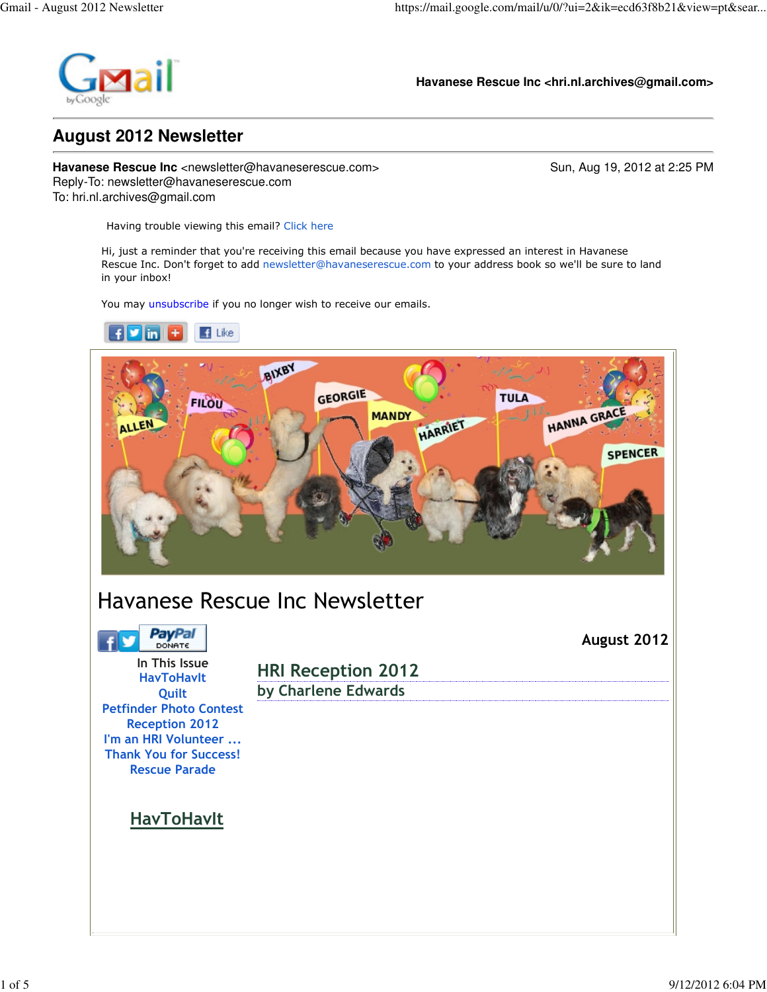

**Havanese Rescue Inc <hri.nl.archives@gmail.com>**

## **August 2012 Newsletter**

**Havanese Rescue Inc** <newsletter@havaneserescue.com> Sun, Aug 19, 2012 at 2:25 PM Reply-To: newsletter@havaneserescue.com To: hri.nl.archives@gmail.com

Having trouble viewing this email? Click here

Hi, just a reminder that you're receiving this email because you have expressed an interest in Havanese Rescue Inc. Don't forget to add newsletter@havaneserescue.com to your address book so we'll be sure to land in your inbox!

You may unsubscribe if you no longer wish to receive our emails.

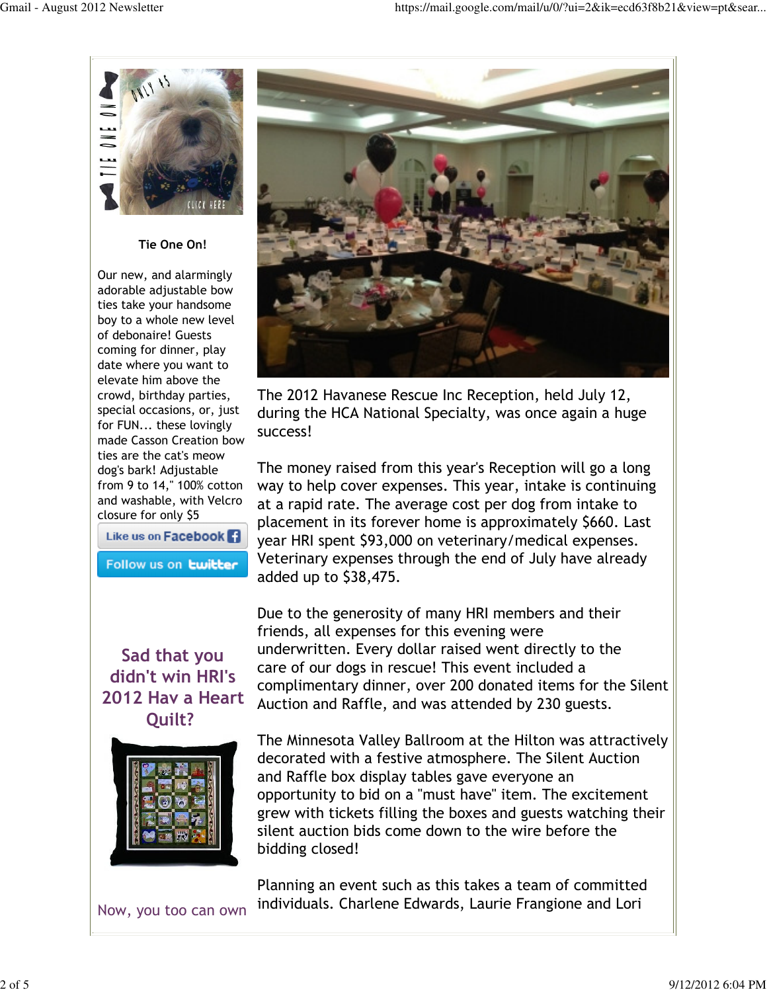

Tie One On!

Our new, and alarmingly adorable adjustable bow ties take your handsome boy to a whole new level of debonaire! Guests coming for dinner, play date where you want to elevate him above the crowd, birthday parties, special occasions, or, just for FUN... these lovingly made Casson Creation bow ties are the cat's meow dog's bark! Adjustable from 9 to 14," 100% cotton and washable, with Velcro closure for only \$5

Like us on Facebook<sup>1</sup>

Follow us on **twitter** 

#### Sad that you didn't win HRI's 2012 Hav a Heart Quilt?



Now, you too can own



The 2012 Havanese Rescue Inc Reception, held July 12, during the HCA National Specialty, was once again a huge success!

The money raised from this year's Reception will go a long way to help cover expenses. This year, intake is continuing at a rapid rate. The average cost per dog from intake to placement in its forever home is approximately \$660. Last year HRI spent \$93,000 on veterinary/medical expenses. Veterinary expenses through the end of July have already added up to \$38,475.

Due to the generosity of many HRI members and their friends, all expenses for this evening were underwritten. Every dollar raised went directly to the care of our dogs in rescue! This event included a complimentary dinner, over 200 donated items for the Silent Auction and Raffle, and was attended by 230 guests.

The Minnesota Valley Ballroom at the Hilton was attractively decorated with a festive atmosphere. The Silent Auction and Raffle box display tables gave everyone an opportunity to bid on a "must have" item. The excitement grew with tickets filling the boxes and guests watching their silent auction bids come down to the wire before the bidding closed!

Planning an event such as this takes a team of committed individuals. Charlene Edwards, Laurie Frangione and Lori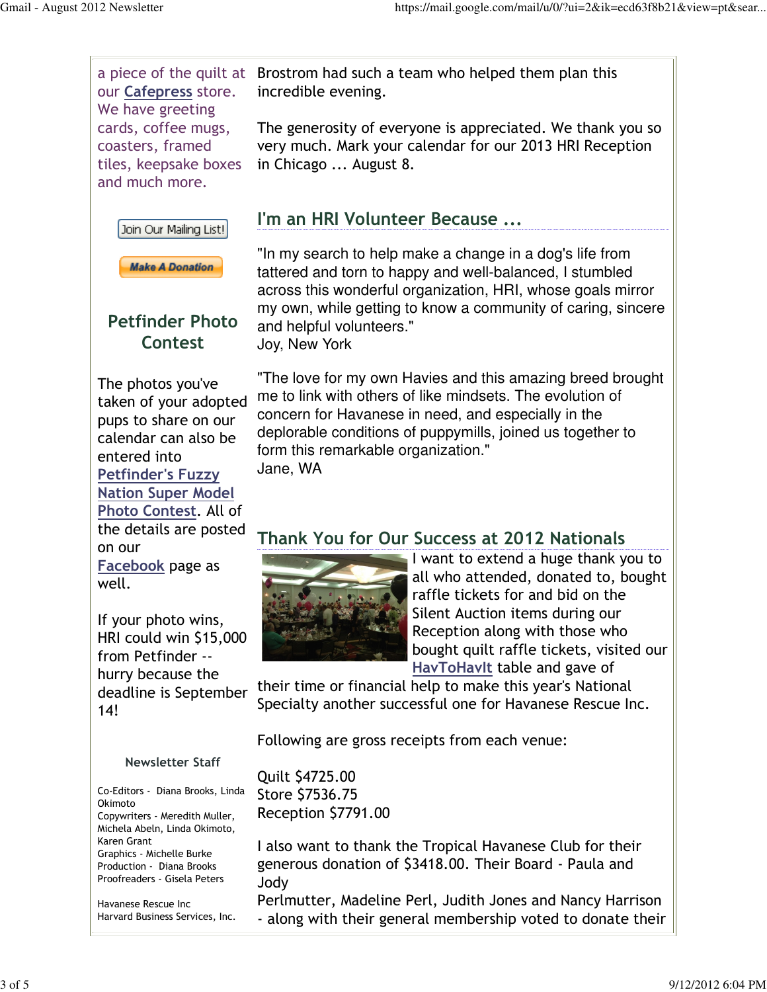our Cafepress store. We have greeting cards, coffee mugs, coasters, framed tiles, keepsake boxes and much more.





## Petfinder Photo Contest

The photos you've taken of your adopted pups to share on our calendar can also be entered into Petfinder's Fuzzy Nation Super Model Photo Contest. All of the details are posted on our Facebook page as well.

If your photo wins, HRI could win \$15,000 from Petfinder - hurry because the deadline is September 14!

Newsletter Staff

Co-Editors - Diana Brooks, Linda Okimoto Copywriters - Meredith Muller, Michela Abeln, Linda Okimoto, Karen Grant Graphics - Michelle Burke Production - Diana Brooks Proofreaders - Gisela Peters

Havanese Rescue Inc Harvard Business Services, Inc.

a piece of the quilt at Brostrom had such a team who helped them plan this incredible evening.

> The generosity of everyone is appreciated. We thank you so very much. Mark your calendar for our 2013 HRI Reception in Chicago ... August 8.

# I'm an HRI Volunteer Because ...

"In my search to help make a change in a dog's life from tattered and torn to happy and well-balanced, I stumbled across this wonderful organization, HRI, whose goals mirror my own, while getting to know a community of caring, sincere and helpful volunteers."

Joy, New York

"The love for my own Havies and this amazing breed brought me to link with others of like mindsets. The evolution of concern for Havanese in need, and especially in the deplorable conditions of puppymills, joined us together to form this remarkable organization." Jane, WA

#### Thank You for Our Success at 2012 Nationals



I want to extend a huge thank you to all who attended, donated to, bought raffle tickets for and bid on the Silent Auction items during our Reception along with those who bought quilt raffle tickets, visited our HavToHavIt table and gave of

their time or financial help to make this year's National Specialty another successful one for Havanese Rescue Inc.

Following are gross receipts from each venue:

Quilt \$4725.00 Store \$7536.75 Reception \$7791.00

I also want to thank the Tropical Havanese Club for their generous donation of \$3418.00. Their Board - Paula and Jody

Perlmutter, Madeline Perl, Judith Jones and Nancy Harrison - along with their general membership voted to donate their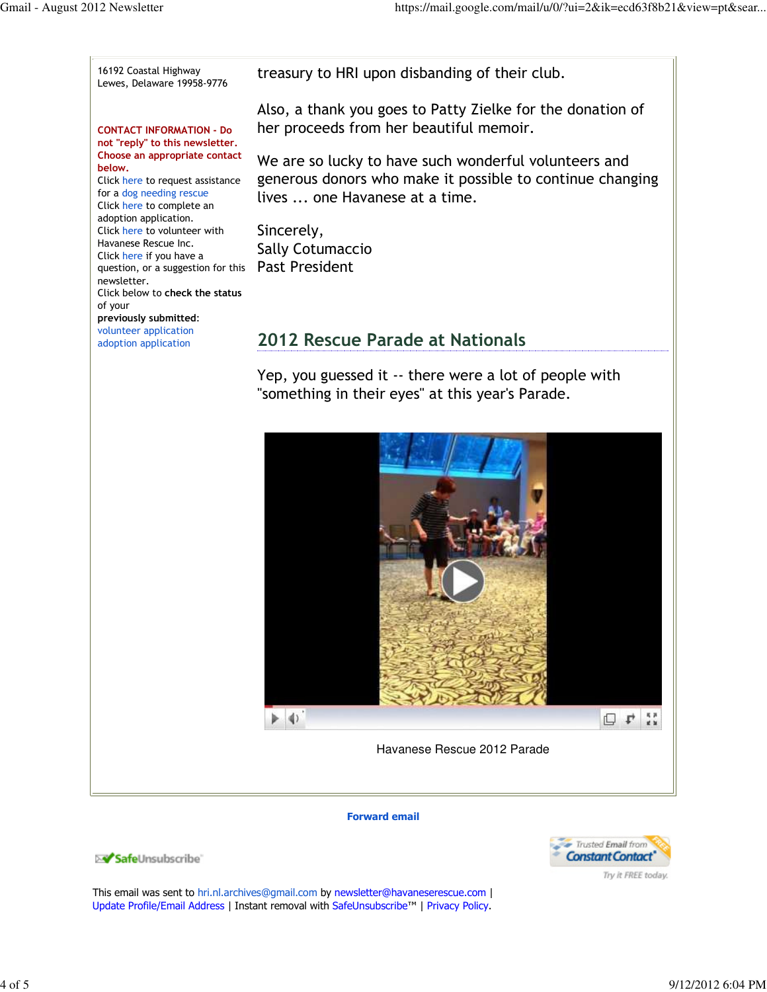16192 Coastal Highway treasury to HRI upon disbanding of their club. Lewes, Delaware 19958-9776 Also, a thank you goes to Patty Zielke for the donation of her proceeds from her beautiful memoir. CONTACT INFORMATION - Do not "reply" to this newsletter. Choose an appropriate contact We are so lucky to have such wonderful volunteers and below. generous donors who make it possible to continue changing Click here to request assistance for a dog needing rescue lives ... one Havanese at a time. Click here to complete an adoption application. Click here to volunteer with Sincerely, Havanese Rescue Inc. Sally Cotumaccio Click here if you have a question, or a suggestion for this Past President newsletter. Click below to check the status of your previously submitted: volunteer application 2012 Rescue Parade at Nationals adoption application Yep, you guessed it -- there were a lot of people with "something in their eyes" at this year's Parade.  $\blacktriangleright$  4) 口 4 話

Havanese Rescue 2012 Parade

#### Forward email



This email was sent to hri.nl.archives@gmail.com by newsletter@havaneserescue.com | Update Profile/Email Address | Instant removal with SafeUnsubscribe™ | Privacy Policy.